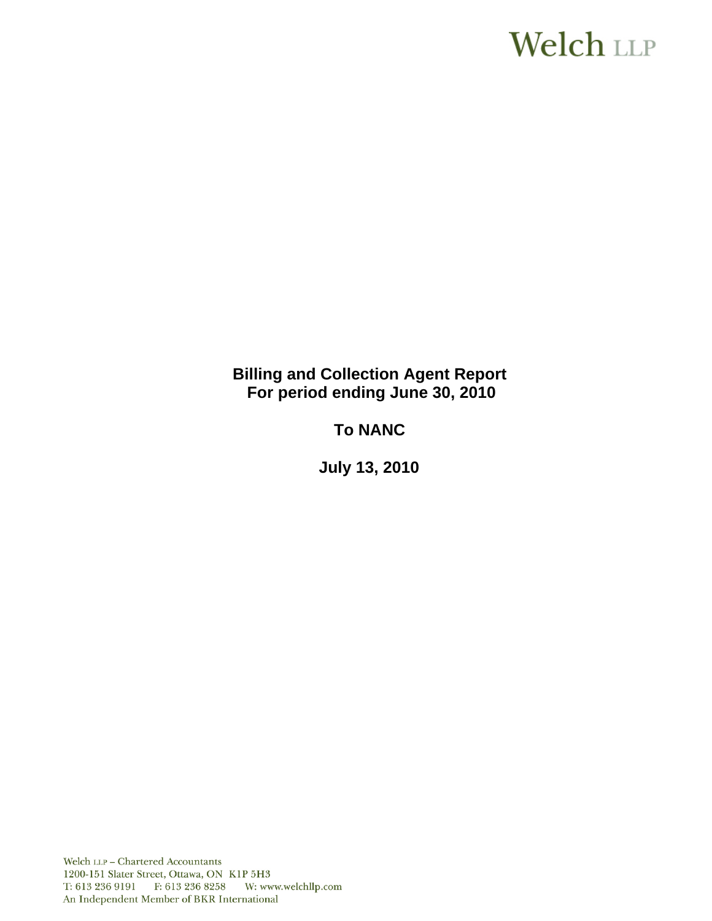# **Welch LLP**

**Billing and Collection Agent Report For period ending June 30, 2010**

**To NANC** 

 **July 13, 2010**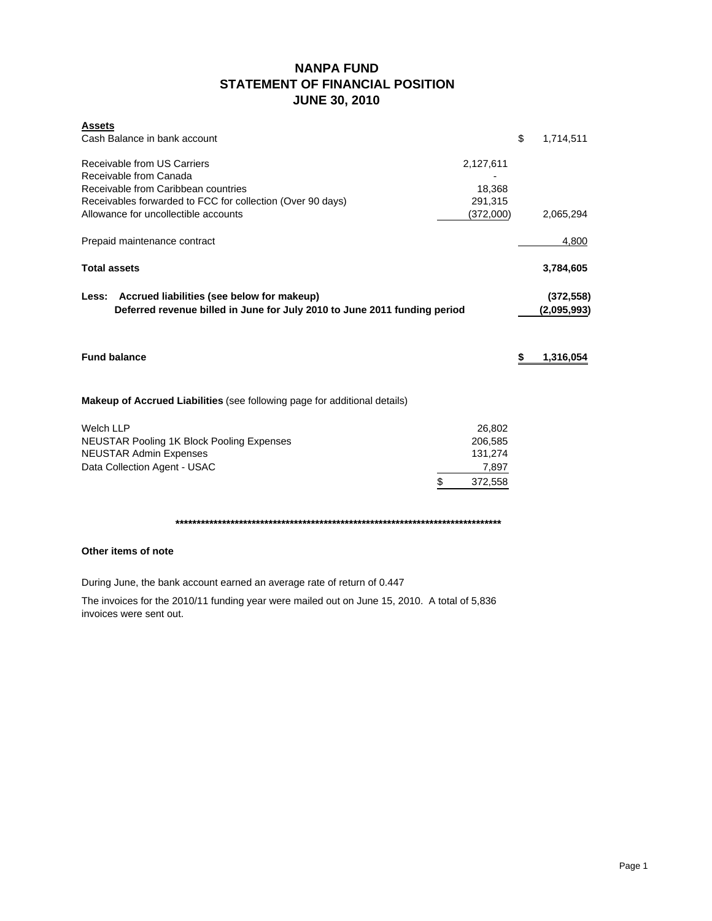# **NANPA FUND STATEMENT OF FINANCIAL POSITION JUNE 30, 2010**

| <b>Assets</b><br>Cash Balance in bank account                                                                                    |               | \$<br>1,714,511           |
|----------------------------------------------------------------------------------------------------------------------------------|---------------|---------------------------|
| Receivable from US Carriers<br>Receivable from Canada                                                                            | 2,127,611     |                           |
| Receivable from Caribbean countries                                                                                              | 18,368        |                           |
| Receivables forwarded to FCC for collection (Over 90 days)                                                                       | 291,315       |                           |
| Allowance for uncollectible accounts                                                                                             | (372,000)     | 2,065,294                 |
| Prepaid maintenance contract                                                                                                     |               | 4,800                     |
| <b>Total assets</b>                                                                                                              |               | 3,784,605                 |
| Accrued liabilities (see below for makeup)<br>Less:<br>Deferred revenue billed in June for July 2010 to June 2011 funding period |               | (372, 558)<br>(2,095,993) |
| <b>Fund balance</b>                                                                                                              |               | \$<br>1,316,054           |
| <b>Makeup of Accrued Liabilities</b> (see following page for additional details)                                                 |               |                           |
| <b>Welch LLP</b>                                                                                                                 | 26,802        |                           |
| <b>NEUSTAR Pooling 1K Block Pooling Expenses</b>                                                                                 | 206,585       |                           |
| <b>NEUSTAR Admin Expenses</b>                                                                                                    | 131,274       |                           |
| Data Collection Agent - USAC                                                                                                     | 7,897         |                           |
|                                                                                                                                  | \$<br>372,558 |                           |
|                                                                                                                                  |               |                           |

**\*\*\*\*\*\*\*\*\*\*\*\*\*\*\*\*\*\*\*\*\*\*\*\*\*\*\*\*\*\*\*\*\*\*\*\*\*\*\*\*\*\*\*\*\*\*\*\*\*\*\*\*\*\*\*\*\*\*\*\*\*\*\*\*\*\*\*\*\*\*\*\*\*\*\*\*\***

# **Other items of note**

During June, the bank account earned an average rate of return of 0.447

The invoices for the 2010/11 funding year were mailed out on June 15, 2010. A total of 5,836 invoices were sent out.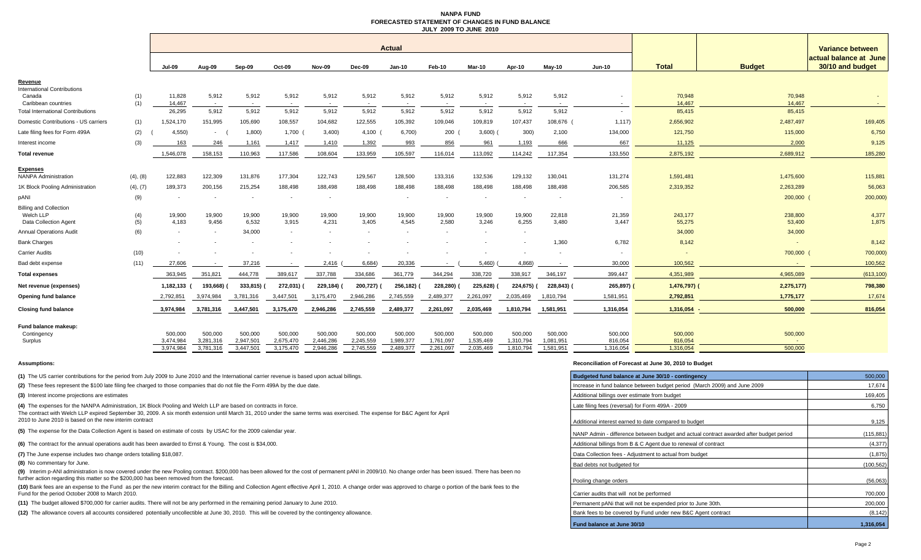### **NANPA FUND FORECASTED STATEMENT OF CHANGES IN FUND BALANCEJULY 2009 TO JUNE 2010**

|                                           |            | <b>Actual</b>    |                 |                 |                 |                                   |                                   |                          |                 |                 |                 | Variance between |                 |                   |                          |                                            |
|-------------------------------------------|------------|------------------|-----------------|-----------------|-----------------|-----------------------------------|-----------------------------------|--------------------------|-----------------|-----------------|-----------------|------------------|-----------------|-------------------|--------------------------|--------------------------------------------|
|                                           |            | <b>Jul-09</b>    | Aug-09          | Sep-09          | Oct-09          | <b>Nov-09</b>                     | Dec-09                            | $Jan-10$                 | Feb-10          | Mar-10          | Apr-10          | <b>Mav-10</b>    | <b>Jun-10</b>   | <b>Total</b>      | <b>Budget</b>            | actual balance at June<br>30/10 and budget |
| Revenue                                   |            |                  |                 |                 |                 |                                   |                                   |                          |                 |                 |                 |                  |                 |                   |                          |                                            |
| nternational Contributions                |            |                  |                 |                 |                 |                                   |                                   |                          |                 |                 |                 |                  |                 |                   |                          |                                            |
| Canada<br>Caribbean countries             | (1)<br>(1) | 11,828<br>14.467 | 5,912<br>$\sim$ | 5,912<br>$\sim$ | 5,912           | 5,912<br>$\overline{\phantom{a}}$ | 5,912<br>$\overline{\phantom{a}}$ | 5,912                    | 5,912<br>$\sim$ | 5,912<br>$\sim$ | 5,912           | 5,912<br>$\sim$  | $\sim$          | 70,948<br>14,467  | 70,948<br>14,467         |                                            |
| <b>Total International Contributions</b>  |            | 26,295           | 5,912           | 5,912           | 5,912           | 5,912                             | 5,912                             | 5,912                    | 5,912           | 5,912           | 5,912           | 5,912            |                 | 85,415            | 85,415                   |                                            |
| Domestic Contributions - US carriers      | (1)        | 1,524,170        | 151,995         | 105,690         | 108,557         | 104,682                           | 122,555                           | 105,392                  | 109,046         | 109,819         | 107,437         | 108,676          | 1,117           | 2,656,902         | 2,487,497                | 169,405                                    |
| Late filing fees for Form 499A            | (2)        | 4.550            | $\sim$          | 1,800           | 1,700           | 3,400                             | 4,100                             | 6,700                    | 200             | 3,600           | 300)            | 2,100            | 134,000         | 121,750           | 115,000                  | 6,750                                      |
| Interest income                           | (3)        | 163              | 246             | 1,161           | 1,417           | 1,410                             | 1,392                             | 993                      | 856             | 961             | 1,193           | 666              | 667             | 11,125            | 2,000                    | 9,125                                      |
| <b>Total revenue</b>                      |            | 1,546,078        | 158,153         | 110,963         | 117,586         | 108,604                           | 133,959                           | 105,597                  | 116,014         | 113,092         | 114,242         | 117,354          | 133,550         | 2,875,192         | 2,689,912                | 185,280                                    |
|                                           |            |                  |                 |                 |                 |                                   |                                   |                          |                 |                 |                 |                  |                 |                   |                          |                                            |
| Expenses<br><b>NANPA Administration</b>   | (4), (8)   | 122,883          | 122,309         | 131,876         | 177,304         | 122,743                           | 129,567                           | 128,500                  | 133,316         | 132,536         | 129,132         | 130,041          | 131,274         | 1,591,481         | 1,475,600                | 115,881                                    |
| 1K Block Pooling Administration           | (4), (7)   | 189,373          | 200,156         | 215,254         | 188,498         | 188,498                           | 188,498                           | 188,498                  | 188,498         | 188,498         | 188,498         | 188,498          | 206,585         | 2,319,352         | 2,263,289                | 56,063                                     |
| pANI                                      | (9)        |                  |                 |                 |                 |                                   |                                   |                          |                 | $\sim$          |                 |                  |                 |                   | 200,000                  | 200,000)                                   |
| <b>Billing and Collection</b>             |            |                  |                 |                 |                 |                                   |                                   |                          |                 |                 |                 |                  |                 |                   |                          |                                            |
| Welch LLP<br><b>Data Collection Agent</b> | (4)<br>(5) | 19,900<br>4,183  | 19,900<br>9,456 | 19,900<br>6,532 | 19,900<br>3,915 | 19,900<br>4,231                   | 19,900<br>3,405                   | 19,900<br>4,545          | 19,900<br>2,580 | 19,900<br>3,246 | 19,900<br>6,255 | 22,818<br>3,480  | 21,359<br>3,447 | 243,177<br>55,275 | 238,800<br>53,400        | 4,377<br>1,875                             |
| <b>Annual Operations Audit</b>            | (6)        | $\sim$           |                 | 34.000          | $\sim$          | $\overline{\phantom{a}}$          | $\overline{\phantom{a}}$          | $\overline{\phantom{a}}$ |                 | $\sim$          | $\sim$          |                  |                 | 34,000            | 34,000                   |                                            |
| <b>Bank Charges</b>                       |            |                  |                 |                 |                 |                                   |                                   |                          |                 |                 |                 | 1,360            | 6,782           | 8,142             | $\overline{\phantom{a}}$ | 8,142                                      |
| <b>Carrier Audits</b>                     | (10)       |                  |                 |                 |                 |                                   |                                   |                          |                 |                 |                 |                  |                 |                   | 700,000                  | 700,000)                                   |
| Bad debt expense                          | (11)       | 27.606           |                 | 37,216          |                 | 2,416                             | 6,684)                            | 20,336                   | $\sim$          | 5,460           | 4,868)          | $\sim$           | 30,000          | 100,562           |                          | 100,562                                    |
| <b>Total expenses</b>                     |            | 363.945          | 351,821         | 444,778         | 389,617         | 337,788                           | 334,686                           | 361,779                  | 344,294         | 338,720         | 338,917         | 346,197          | 399,447         | 4.351.989         | 4.965.089                | (613, 100)                                 |
| Net revenue (expenses)                    |            | 1,182,133 (      | 193,668)        | 333,815)        | 272,031)        | 229,184) (                        | 200,727)                          | 256,182)                 | 228,280)        | 225,628)        | 224,675) (      | 228,843)         | 265,897)        | $1,476,797$ )     | 2,275,177)               | 798,380                                    |
| Opening fund balance                      |            | 2,792,851        | 3,974,984       | 3,781,316       | 3,447,501       | 3,175,470                         | 2,946,286                         | 2,745,559                | 2,489,377       | 2,261,097       | 2,035,469       | 1,810,794        | 1,581,951       | 2,792,851         | 1,775,177                | 17,674                                     |
|                                           |            |                  |                 |                 |                 |                                   |                                   |                          |                 |                 |                 |                  |                 |                   |                          |                                            |
| <b>Closing fund balance</b>               |            | 3.974.984        | 3.781.316       | 3,447,501       | 3,175,470       | 2.946.286                         | 2,745,559                         | 2,489,377                | 2.261.097       | 2.035.469       | 1,810,794       | 1.581.951        | 1,316,054       | 1,316,054         | 500.000                  | 816,054                                    |
| Fund balance makeup:                      |            |                  |                 |                 |                 |                                   |                                   |                          |                 |                 |                 |                  |                 |                   |                          |                                            |
| Contingency                               |            | 500.000          | 500,000         | 500,000         | 500,000         | 500,000                           | 500,000                           | 500.000                  | 500,000         | 500.000         | 500.000         | 500,000          | 500,000         | 500,000           | 500,000                  |                                            |
| Surplus                                   |            | 3,474,984        | 3,281,316       | 2,947,50        | 2,675,470       | 2,446,286                         | 2,245,559                         | 1,989,377                | 1,761,097       | 1,535,469       | 1,310,794       | 1,081,951        | 816,054         | 816,054           |                          |                                            |
|                                           |            | 3.974.984        | 3,781,316       | 3,447,501       | 3,175,470       | 2,946,286                         | 2,745,559                         | 2,489,377                | 2,261,097       | 2,035,469       | 1,810,794       | 1,581,951        | 1,316,054       | 1,316,054         | 500,000                  |                                            |

**(1)** The US carrier contributions for the period from July 2009 to June 2010 and the International carrier revenue is based upon actual billings.

(2) These fees represent the \$100 late filing fee charged to those companies that do not file the Form 499A by the due date.

**(3)** Interest income projections are estimates

The contract with Welch LLP expired September 30, 2009. A six month extension until March 31, 2010 under the same terms was exercised. The expense for B&C Agent for April 2010 to June 2010 is based on the new interim contract **(4)** The expenses for the NANPA Administration, 1K Block Pooling and Welch LLP are based on contracts in force.

**(5)** The expense for the Data Collection Agent is based on estimate of costs by USAC for the 2009 calendar year.

**(6)** The contract for the annual operations audit has been awarded to Ernst & Young. The cost is \$34,000.

**(7)** The June expense includes two change orders totalling \$18,087.

**(8)** No commentary for June.

**(9)** Interim p-ANI administration is now covered under the new Pooling contract. \$200,000 has been allowed for the cost of permanent pANI in 2009/10. No change order has been issued. There has been no further action regarding this matter so the \$200,000 has been removed from the forecast.

**(10)** Bank fees are an expense to the Fund as per the new interim contract for the Billing and Collection Agent effective April 1, 2010. A change order was approved to charge o portion of the bank fees to the Fund for the period October 2008 to March 2010.

(11) The budget allowed \$700,000 for carrier audits. There will not be any performed in the remaining period January to June 2010.

**(12)** The allowance covers all accounts considered potentially uncollectible at June 30, 2010. This will be covered by the contingency allowance.

### **Assumptions: Reconciliation of Forecast at June 30, 2010 to Budget**

| Budgeted fund balance at June 30/10 - contingency                                      | 500,000    |
|----------------------------------------------------------------------------------------|------------|
| Increase in fund balance between budget period (March 2009) and June 2009              | 17,674     |
| Additional billings over estimate from budget                                          | 169,405    |
| Late filing fees (reversal) for Form 499A - 2009                                       | 6,750      |
| Additional interest earned to date compared to budget                                  | 9,125      |
| NANP Admin - difference between budget and actual contract awarded after budget period | (115, 881) |
| Additional billings from B & C Agent due to renewal of contract                        | (4, 377)   |
| Data Collection fees - Adjustment to actual from budget                                | (1, 875)   |
| Bad debts not budgeted for                                                             | (100, 562) |
| Pooling change orders                                                                  | (56,063)   |
| Carrier audits that will not be performed                                              | 700,000    |
| Permanent pANi that will not be expended prior to June 30th.                           | 200,000    |
| Bank fees to be covered by Fund under new B&C Agent contract                           | (8, 142)   |
| Fund balance at June 30/10                                                             | 1,316,054  |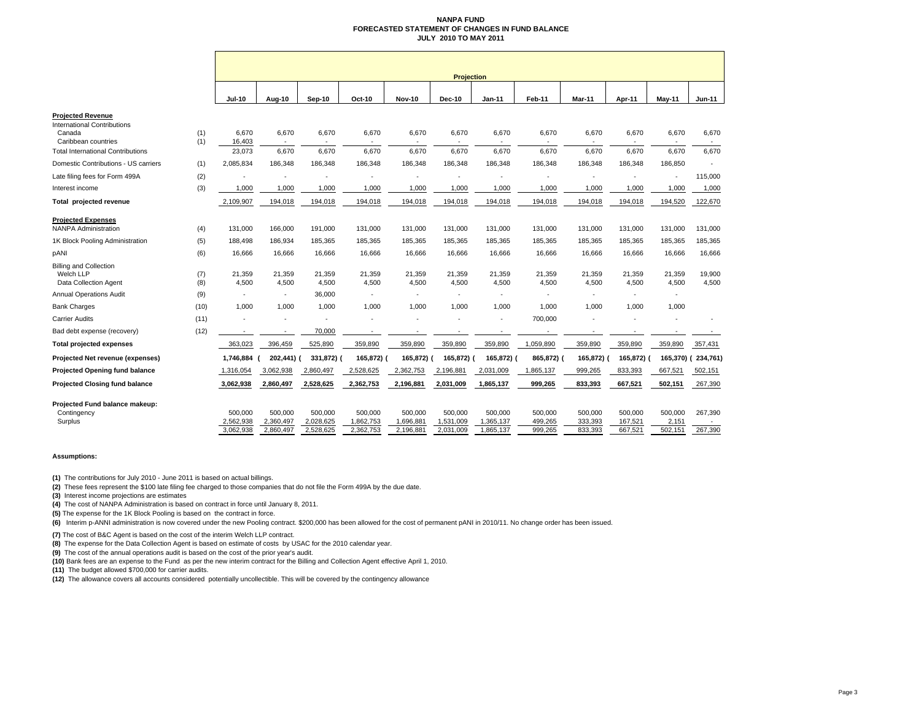### **NANPA FUND FORECASTED STATEMENT OF CHANGES IN FUND BALANCEJULY 2010 TO MAY 2011**

|                                                                     |            | <b>Projection</b>    |                          |                      |                      |                      |                      |                      |                    |                          |                    |                  |                 |
|---------------------------------------------------------------------|------------|----------------------|--------------------------|----------------------|----------------------|----------------------|----------------------|----------------------|--------------------|--------------------------|--------------------|------------------|-----------------|
|                                                                     |            | <b>Jul-10</b>        | Aug-10                   | Sep-10               | Oct-10               | <b>Nov-10</b>        | <b>Dec-10</b>        | <b>Jan-11</b>        | Feb-11             | Mar-11                   | Apr-11             | May-11           | <b>Jun-11</b>   |
| <b>Proiected Revenue</b>                                            |            |                      |                          |                      |                      |                      |                      |                      |                    |                          |                    |                  |                 |
| <b>International Contributions</b><br>Canada                        | (1)        | 6,670                | 6,670                    | 6,670                | 6,670                | 6,670                | 6,670                | 6,670                | 6,670              | 6,670                    | 6,670              | 6,670            | 6,670           |
| Caribbean countries                                                 | (1)        | 16,403               |                          |                      |                      |                      |                      |                      |                    |                          |                    |                  |                 |
| <b>Total International Contributions</b>                            |            | 23,073               | 6,670                    | 6,670                | 6,670                | 6,670                | 6,670                | 6,670                | 6,670              | 6,670                    | 6,670              | 6,670            | 6,670           |
| Domestic Contributions - US carriers                                | (1)        | 2,085,834            | 186,348                  | 186,348              | 186,348              | 186,348              | 186,348              | 186,348              | 186,348            | 186,348                  | 186,348            | 186,850          |                 |
| Late filing fees for Form 499A                                      | (2)        |                      |                          |                      |                      |                      |                      |                      |                    | ٠                        |                    |                  | 115,000         |
| Interest income                                                     | (3)        | 1,000                | 1,000                    | 1,000                | 1,000                | 1,000                | 1,000                | 1,000                | 1,000              | 1,000                    | 1,000              | 1,000            | 1,000           |
| Total projected revenue                                             |            | 2,109,907            | 194,018                  | 194,018              | 194,018              | 194,018              | 194,018              | 194,018              | 194,018            | 194,018                  | 194,018            | 194,520          | 122,670         |
| <b>Projected Expenses</b>                                           |            |                      |                          |                      |                      |                      |                      |                      |                    |                          |                    |                  |                 |
| <b>NANPA Administration</b>                                         | (4)        | 131,000              | 166,000                  | 191,000              | 131,000              | 131,000              | 131,000              | 131,000              | 131,000            | 131,000                  | 131,000            | 131,000          | 131,000         |
| 1K Block Pooling Administration                                     | (5)        | 188,498              | 186,934                  | 185,365              | 185,365              | 185,365              | 185,365              | 185,365              | 185,365            | 185,365                  | 185,365            | 185,365          | 185,365         |
| pANI                                                                | (6)        | 16,666               | 16,666                   | 16,666               | 16,666               | 16,666               | 16,666               | 16,666               | 16,666             | 16,666                   | 16,666             | 16,666           | 16,666          |
| <b>Billing and Collection</b><br>Welch LLP<br>Data Collection Agent | (7)<br>(8) | 21,359<br>4,500      | 21,359<br>4,500          | 21,359<br>4,500      | 21,359<br>4,500      | 21,359<br>4,500      | 21,359<br>4,500      | 21,359<br>4,500      | 21,359<br>4,500    | 21,359<br>4,500          | 21,359<br>4,500    | 21,359<br>4,500  | 19,900<br>4,500 |
| <b>Annual Operations Audit</b>                                      | (9)        | $\sim$               |                          | 36,000               |                      |                      |                      |                      |                    | ٠                        | $\sim$             | $\sim$           |                 |
| <b>Bank Charges</b>                                                 | (10)       | 1,000                | 1,000                    | 1,000                | 1,000                | 1,000                | 1,000                | 1,000                | 1,000              | 1,000                    | 1,000              | 1,000            |                 |
| Carrier Audits                                                      | (11)       |                      |                          |                      |                      |                      |                      |                      | 700,000            |                          |                    |                  |                 |
| Bad debt expense (recovery)                                         | (12)       |                      | $\overline{\phantom{a}}$ | 70,000               |                      |                      |                      |                      |                    | $\overline{\phantom{a}}$ |                    |                  |                 |
| Total projected expenses                                            |            | 363,023              | 396,459                  | 525,890              | 359,890              | 359,890              | 359,890              | 359,890              | 1,059,890          | 359,890                  | 359,890            | 359,890          | 357,431         |
| Projected Net revenue (expenses)                                    |            | 1,746,884            | 202,441) (               | 331,872) (           | 165,872) (           | 165,872) (           | 165,872) (           | 165,872) (           | 865,872) (         | 165,872)                 | 165,872) (         | 165,370) (       | 234,761)        |
| <b>Projected Opening fund balance</b>                               |            | 1,316,054            | 3,062,938                | 2,860,497            | 2,528,625            | 2,362,753            | 2,196,881            | 2,031,009            | 1,865,137          | 999,265                  | 833,393            | 667,521          | 502,151         |
| <b>Projected Closing fund balance</b>                               |            | 3,062,938            | 2,860,497                | 2,528,625            | 2,362,753            | 2,196,881            | 2,031,009            | 1,865,137            | 999,265            | 833,393                  | 667,521            | 502,151          | 267,390         |
| Projected Fund balance makeup:                                      |            |                      |                          |                      |                      |                      |                      |                      |                    |                          |                    |                  |                 |
| Contingency<br>Surplus                                              |            | 500,000<br>2,562,938 | 500,000<br>2,360,497     | 500,000<br>2,028,625 | 500,000<br>1,862,753 | 500,000<br>1,696,881 | 500,000<br>1,531,009 | 500,000<br>1,365,137 | 500,000<br>499,265 | 500,000<br>333,393       | 500,000<br>167,521 | 500,000<br>2,151 | 267,390         |
|                                                                     |            | 3,062,938            | 2,860,497                | 2,528,625            | 2,362,753            | 2,196,881            | 2,031,009            | 1,865,137            | 999,265            | 833,393                  | 667,521            | 502,151          | 267,390         |

### **Assumptions:**

**(1)** The contributions for July 2010 - June 2011 is based on actual billings.

**(2)** These fees represent the \$100 late filing fee charged to those companies that do not file the Form 499A by the due date.

**(3)** Interest income projections are estimates

**(4)** The cost of NANPA Administration is based on contract in force until January 8, 2011.

**(5)** The expense for the 1K Block Pooling is based on the contract in force.

**(6)** Interim p-ANNI administration is now covered under the new Pooling contract. \$200,000 has been allowed for the cost of permanent pANI in 2010/11. No change order has been issued.

**(7)** The cost of B&C Agent is based on the cost of the interim Welch LLP contract.

**(8)** The expense for the Data Collection Agent is based on estimate of costs by USAC for the 2010 calendar year.

**(9)** The cost of the annual operations audit is based on the cost of the prior year's audit.

**(10)** Bank fees are an expense to the Fund as per the new interim contract for the Billing and Collection Agent effective April 1, 2010.

**(11)** The budget allowed \$700,000 for carrier audits.

**(12)** The allowance covers all accounts considered potentially uncollectible. This will be covered by the contingency allowance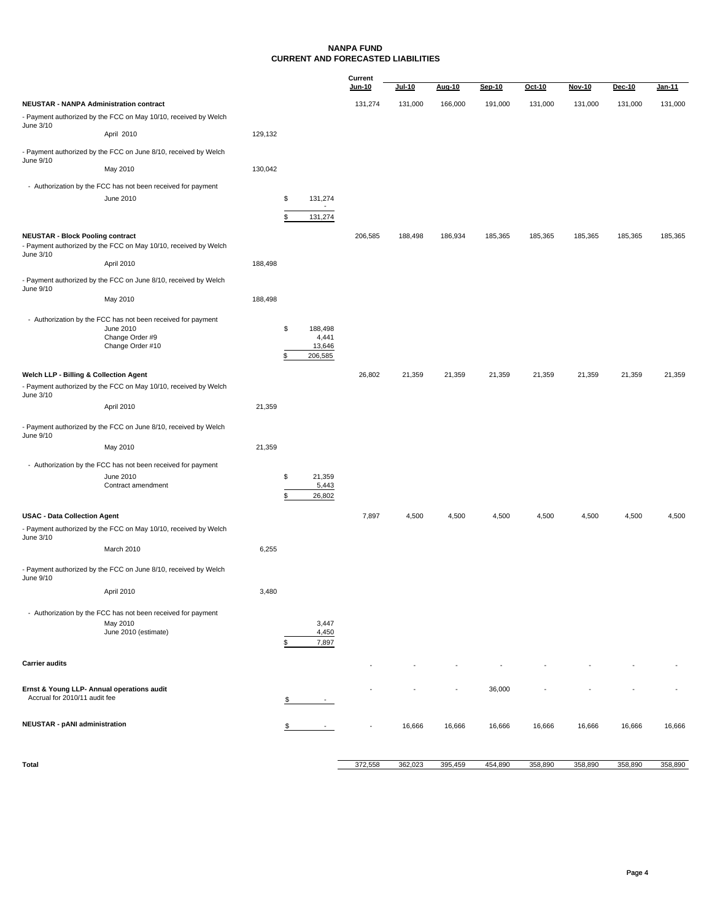### **NANPA FUND CURRENT AND FORECASTED LIABILITIES**

|                                                                             |                                                                                                                  |         |          |                                       | Current<br>Jun-10 | Jul-10  | Aug-10  | Sep-10  | Oct-10  | Nov-10  | <b>Dec-10</b> | Jan-11  |
|-----------------------------------------------------------------------------|------------------------------------------------------------------------------------------------------------------|---------|----------|---------------------------------------|-------------------|---------|---------|---------|---------|---------|---------------|---------|
| <b>NEUSTAR - NANPA Administration contract</b>                              |                                                                                                                  |         |          |                                       | 131,274           | 131,000 | 166,000 | 191,000 | 131,000 | 131,000 | 131,000       | 131,000 |
|                                                                             | - Payment authorized by the FCC on May 10/10, received by Welch                                                  |         |          |                                       |                   |         |         |         |         |         |               |         |
| June 3/10                                                                   | April 2010                                                                                                       | 129,132 |          |                                       |                   |         |         |         |         |         |               |         |
| June 9/10                                                                   | - Payment authorized by the FCC on June 8/10, received by Welch                                                  |         |          |                                       |                   |         |         |         |         |         |               |         |
|                                                                             | May 2010                                                                                                         | 130,042 |          |                                       |                   |         |         |         |         |         |               |         |
|                                                                             | - Authorization by the FCC has not been received for payment                                                     |         |          |                                       |                   |         |         |         |         |         |               |         |
|                                                                             | June 2010                                                                                                        |         | \$       | 131,274                               |                   |         |         |         |         |         |               |         |
|                                                                             |                                                                                                                  |         | \$       | 131,274                               |                   |         |         |         |         |         |               |         |
| <b>NEUSTAR - Block Pooling contract</b><br>June 3/10                        | - Payment authorized by the FCC on May 10/10, received by Welch                                                  |         |          |                                       | 206,585           | 188,498 | 186,934 | 185,365 | 185,365 | 185,365 | 185,365       | 185,365 |
|                                                                             | April 2010                                                                                                       | 188,498 |          |                                       |                   |         |         |         |         |         |               |         |
| June 9/10                                                                   | - Payment authorized by the FCC on June 8/10, received by Welch                                                  |         |          |                                       |                   |         |         |         |         |         |               |         |
|                                                                             | May 2010                                                                                                         | 188,498 |          |                                       |                   |         |         |         |         |         |               |         |
|                                                                             | - Authorization by the FCC has not been received for payment<br>June 2010<br>Change Order #9<br>Change Order #10 |         | \$<br>\$ | 188,498<br>4,441<br>13,646<br>206,585 |                   |         |         |         |         |         |               |         |
| Welch LLP - Billing & Collection Agent<br>June 3/10                         | - Payment authorized by the FCC on May 10/10, received by Welch                                                  |         |          |                                       | 26,802            | 21,359  | 21,359  | 21,359  | 21,359  | 21,359  | 21,359        | 21,359  |
|                                                                             | April 2010                                                                                                       | 21,359  |          |                                       |                   |         |         |         |         |         |               |         |
| June 9/10                                                                   | - Payment authorized by the FCC on June 8/10, received by Welch                                                  |         |          |                                       |                   |         |         |         |         |         |               |         |
|                                                                             | May 2010                                                                                                         | 21,359  |          |                                       |                   |         |         |         |         |         |               |         |
|                                                                             | - Authorization by the FCC has not been received for payment<br>June 2010<br>Contract amendment                  |         | \$<br>\$ | 21,359<br>5,443<br>26,802             |                   |         |         |         |         |         |               |         |
| <b>USAC - Data Collection Agent</b>                                         |                                                                                                                  |         |          |                                       | 7,897             | 4,500   | 4,500   | 4,500   | 4,500   | 4,500   | 4,500         | 4,500   |
| June 3/10                                                                   | - Payment authorized by the FCC on May 10/10, received by Welch                                                  |         |          |                                       |                   |         |         |         |         |         |               |         |
|                                                                             | March 2010                                                                                                       | 6,255   |          |                                       |                   |         |         |         |         |         |               |         |
| June 9/10                                                                   | - Payment authorized by the FCC on June 8/10, received by Welch                                                  |         |          |                                       |                   |         |         |         |         |         |               |         |
|                                                                             | April 2010                                                                                                       | 3,480   |          |                                       |                   |         |         |         |         |         |               |         |
|                                                                             | - Authorization by the FCC has not been received for payment<br>May 2010<br>June 2010 (estimate)                 |         | \$       | 3,447<br>4,450<br>7,897               |                   |         |         |         |         |         |               |         |
| <b>Carrier audits</b>                                                       |                                                                                                                  |         |          |                                       |                   |         |         |         |         |         |               |         |
| Ernst & Young LLP- Annual operations audit<br>Accrual for 2010/11 audit fee |                                                                                                                  |         |          | $\sim$                                |                   |         |         | 36,000  |         |         |               |         |
| <b>NEUSTAR - pANI administration</b>                                        |                                                                                                                  |         |          |                                       |                   | 16,666  | 16,666  | 16,666  | 16,666  | 16,666  | 16,666        | 16,666  |
| Total                                                                       |                                                                                                                  |         |          |                                       | 372,558           | 362,023 | 395,459 | 454,890 | 358,890 | 358,890 | 358,890       | 358,890 |